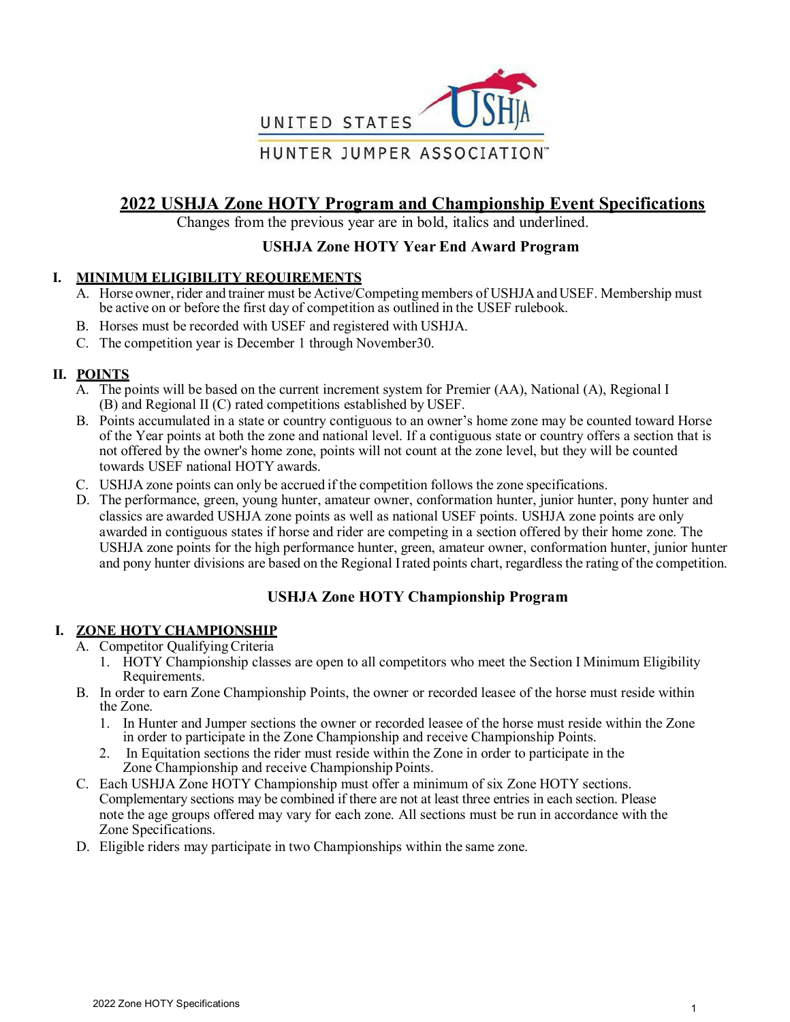

# **2022 USHJA Zone HOTY Program and Championship Event Specifications**

Changes from the previous year are in bold, italics and underlined.

# **USHJA Zone HOTY Year End Award Program**

# **I. MINIMUM ELIGIBILITY REQUIREMENTS**

- A. Horse owner, rider and trainer must be Active/Competing members of USHJA and USEF. Membership must be active on or before the first day of competition as outlined in the USEF rulebook.
- B. Horses must be recorded with USEF and registered with USHJA.
- C. The competition year is December 1 through November30.

# **II. POINTS**

- A. The points will be based on the current increment system for Premier (AA), National (A), Regional I (B) and Regional II (C) rated competitions established by USEF.
- B. Points accumulated in a state or country contiguous to an owner's home zone may be counted toward Horse of the Year points at both the zone and national level. If a contiguous state or country offers a section that is not offered by the owner's home zone, points will not count at the zone level, but they will be counted towards USEF national HOTY awards.
- C. USHJA zone points can only be accrued if the competition follows the zone specifications.
- D. The performance, green, young hunter, amateur owner, conformation hunter, junior hunter, pony hunter and classics are awarded USHJA zone points as well as national USEF points. USHJA zone points are only awarded in contiguous states if horse and rider are competing in a section offered by their home zone. The USHJA zone points for the high performance hunter, green, amateur owner, conformation hunter, junior hunter and pony hunter divisions are based on the Regional Irated points chart, regardless the rating of the competition.

# **USHJA Zone HOTY Championship Program**

# **I. ZONE HOTY CHAMPIONSHIP**

- A. Competitor QualifyingCriteria
	- 1. HOTY Championship classes are open to all competitors who meet the Section I Minimum Eligibility Requirements.
- B. In order to earn Zone Championship Points, the owner or recorded leasee of the horse must reside within the Zone.
	- 1. In Hunter and Jumper sections the owner or recorded leasee of the horse must reside within the Zone in order to participate in the Zone Championship and receive Championship Points.
	- 2. In Equitation sections the rider must reside within the Zone in order to participate in the Zone Championship and receive Championship Points.
- C. Each USHJA Zone HOTY Championship must offer a minimum of six Zone HOTY sections. Complementary sections may be combined if there are not at least three entries in each section. Please note the age groups offered may vary for each zone. All sections must be run in accordance with the Zone Specifications.
- D. Eligible riders may participate in two Championships within the same zone.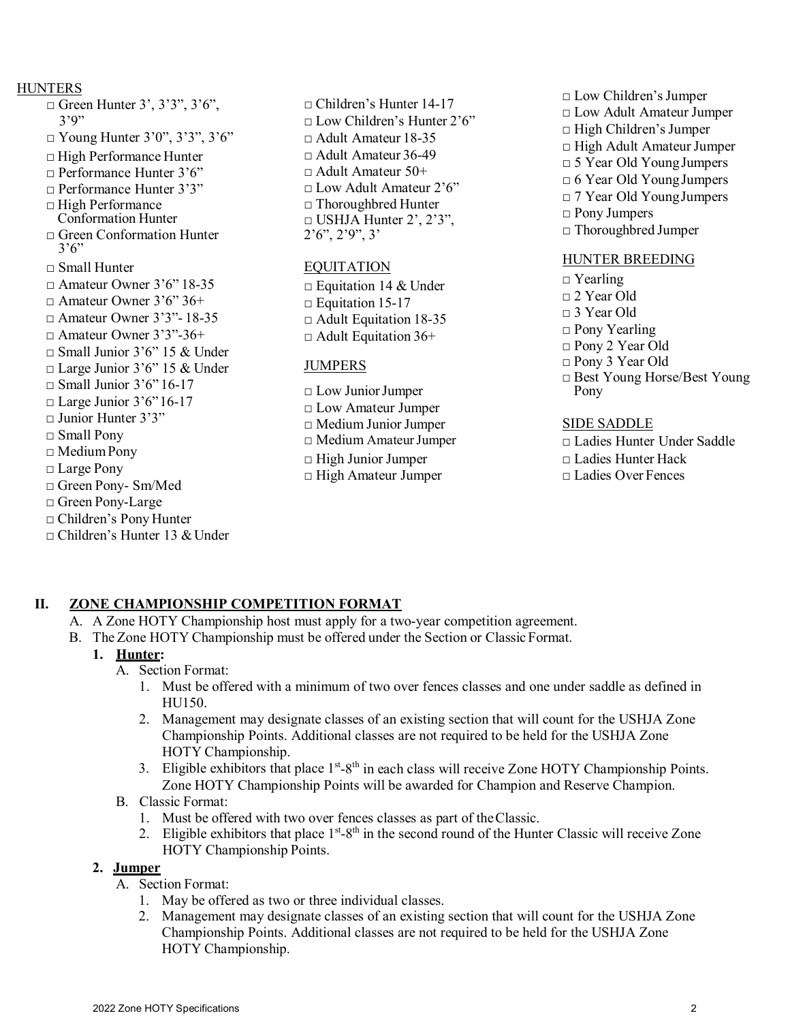#### HUNTERS

- $\Box$  Green Hunter 3', 3'3", 3'6", 3'9"  $\Box$  Young Hunter 3'0", 3'3", 3'6" □ High Performance Hunter  $\Box$  Performance Hunter 3'6" □ Performance Hunter 3'3" □ High Performance Conformation Hunter □ Green Conformation Hunter  $3'6"$ □ Small Hunter □ Amateur Owner 3'6" 18-35  $\Box$  Amateur Owner 3'6" 36+ □ Amateur Owner 3'3"- 18-35 □ Amateur Owner 3'3"-36+  $\Box$  Small Junior 3'6" 15 & Under □ Large Junior 3'6" 15 & Under  $\Box$  Small Junior 3'6" 16-17  $\Box$  Large Junior 3'6" 16-17 □ Junior Hunter 3'3" □ Small Pony □ MediumPony □ Large Pony □ Green Pony- Sm/Med □ Green Pony-Large □ Children's Pony Hunter  $\Box$  Children's Hunter 13 & Under
- □ Children's Hunter 14-17 □ Low Children's Hunter 2'6" □ Adult Amateur 18-35 □ Adult Amateur 36-49 □ Adult Amateur 50+  $\Box$  Low Adult Amateur 2'6" □ Thoroughbred Hunter  $\Box$  USHJA Hunter 2', 2'3", 2'6", 2'9", 3'

#### EQUITATION

 $\Box$  Equitation 14 & Under  $\Box$  Equitation 15-17  $\Box$  Adult Equitation 18-35  $\Box$  Adult Equitation 36+

#### JUMPERS

□ Low JuniorJumper □ Low Amateur Jumper □ Medium JuniorJumper □ Medium AmateurJumper □ High Junior Jumper □ High Amateur Jumper

- □ Low Children's Jumper
- □ Low Adult Amateur Jumper
- □ High Children's Jumper
- □ High Adult AmateurJumper
- □ 5 Year Old YoungJumpers
- $\Box$  6 Year Old Young Jumpers
- □ 7 Year Old YoungJumpers
- □ Pony Jumpers
- □ Thoroughbred Jumper

#### HUNTER BREEDING

- □ Yearling
- □ 2 Year Old
- □ 3 Year Old
- □ Pony Yearling
- □ Pony 2 Year Old
- □ Pony 3 Year Old
- □ Best Young Horse/Best Young Pony

#### SIDE SADDLE

- □ Ladies Hunter Under Saddle □ Ladies Hunter Hack
- □ Ladies Over Fences

# **II. ZONE CHAMPIONSHIP COMPETITION FORMAT**

- A. A Zone HOTY Championship host must apply for a two-year competition agreement.
- B. The Zone HOTY Championship must be offered under the Section or Classic Format.

# **1. Hunter:**

- A. Section Format:
	- 1. Must be offered with a minimum of two over fences classes and one under saddle as defined in HU150.
	- 2. Management may designate classes of an existing section that will count for the USHJA Zone Championship Points. Additional classes are not required to be held for the USHJA Zone HOTY Championship.
	- 3. Eligible exhibitors that place 1<sup>st</sup>-8<sup>th</sup> in each class will receive Zone HOTY Championship Points. Zone HOTY Championship Points will be awarded for Champion and Reserve Champion.
- B. Classic Format:
	- 1. Must be offered with two over fences classes as part of theClassic.
	- 2. Eligible exhibitors that place  $1^{st} 8^{th}$  in the second round of the Hunter Classic will receive Zone HOTY Championship Points.

# **2. Jumper**

- A. Section Format:
	- 1. May be offered as two or three individual classes.
	- 2. Management may designate classes of an existing section that will count for the USHJA Zone Championship Points. Additional classes are not required to be held for the USHJA Zone HOTY Championship.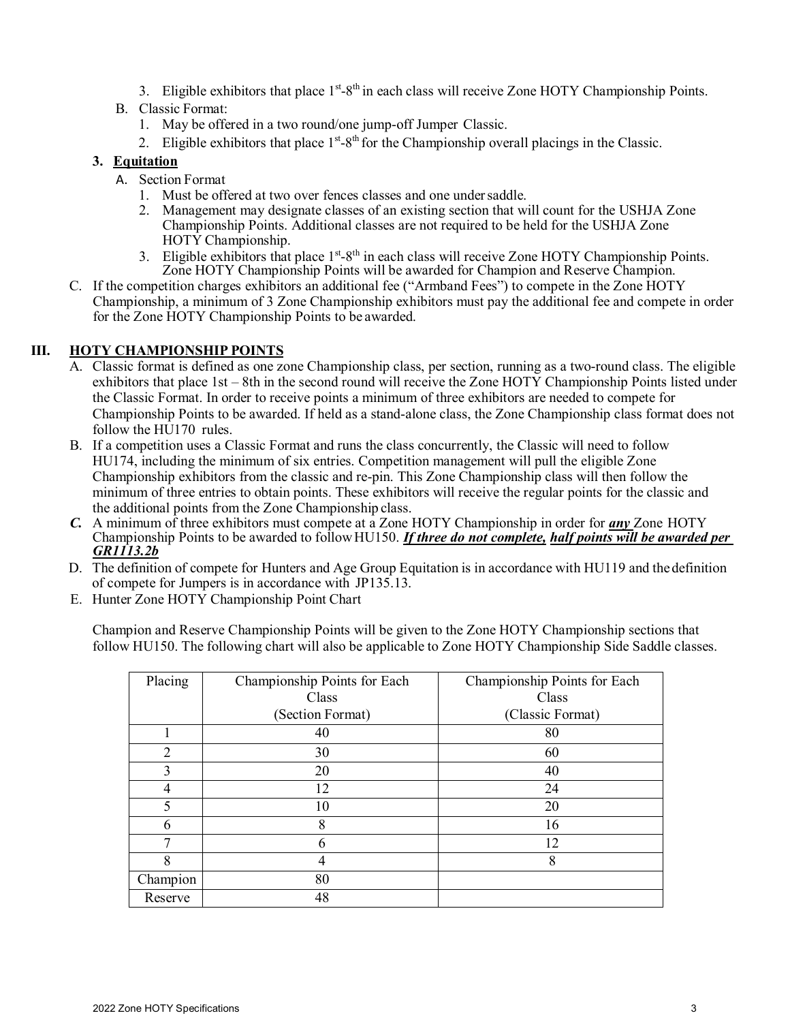3. Eligible exhibitors that place 1<sup>st</sup>-8<sup>th</sup> in each class will receive Zone HOTY Championship Points.

# B. Classic Format:

- 1. May be offered in a two round/one jump-off Jumper Classic.
- 2. Eligible exhibitors that place  $1<sup>st</sup>-8<sup>th</sup>$  for the Championship overall placings in the Classic.

#### **3. Equitation**

- A. Section Format
	- 1. Must be offered at two over fences classes and one undersaddle.
	- 2. Management may designate classes of an existing section that will count for the USHJA Zone Championship Points. Additional classes are not required to be held for the USHJA Zone HOTY Championship.
	- 3. Eligible exhibitors that place  $1<sup>st</sup>-8<sup>th</sup>$  in each class will receive Zone HOTY Championship Points. Zone HOTY Championship Points will be awarded for Champion and Reserve Champion.
- C. If the competition charges exhibitors an additional fee ("Armband Fees") to compete in the Zone HOTY Championship, a minimum of 3 Zone Championship exhibitors must pay the additional fee and compete in order for the Zone HOTY Championship Points to be awarded.

# **III. HOTY CHAMPIONSHIP POINTS**

- A. Classic format is defined as one zone Championship class, per section, running as a two-round class. The eligible exhibitors that place 1st – 8th in the second round will receive the Zone HOTY Championship Points listed under the Classic Format. In order to receive points a minimum of three exhibitors are needed to compete for Championship Points to be awarded. If held as a stand-alone class, the Zone Championship class format does not follow the HU170 rules.
- B. If a competition uses a Classic Format and runs the class concurrently, the Classic will need to follow HU174, including the minimum of six entries. Competition management will pull the eligible Zone Championship exhibitors from the classic and re-pin. This Zone Championship class will then follow the minimum of three entries to obtain points. These exhibitors will receive the regular points for the classic and the additional points from the Zone Championship class.
- *C.* A minimum of three exhibitors must compete at a Zone HOTY Championship in order for *any* Zone HOTY Championship Points to be awarded to followHU150. *If three do not complete, half points will be awarded per GR1113.2b*
- D. The definition of compete for Hunters and Age Group Equitation is in accordance with HU119 and thedefinition of compete for Jumpers is in accordance with JP135.13.
- E. Hunter Zone HOTY Championship Point Chart

Champion and Reserve Championship Points will be given to the Zone HOTY Championship sections that follow HU150. The following chart will also be applicable to Zone HOTY Championship Side Saddle classes.

| Placing  | Championship Points for Each | Championship Points for Each |
|----------|------------------------------|------------------------------|
|          | Class                        | Class                        |
|          | (Section Format)             | (Classic Format)             |
|          | 40                           | 80                           |
| 2        | 30                           | 60                           |
| 3        | 20                           | 40                           |
| 4        | 12                           | 24                           |
| 5        | 10                           | 20                           |
|          | 8                            | 16                           |
|          | n                            | 12                           |
| 8        |                              | 8                            |
| Champion | 80                           |                              |
| Reserve  | 48                           |                              |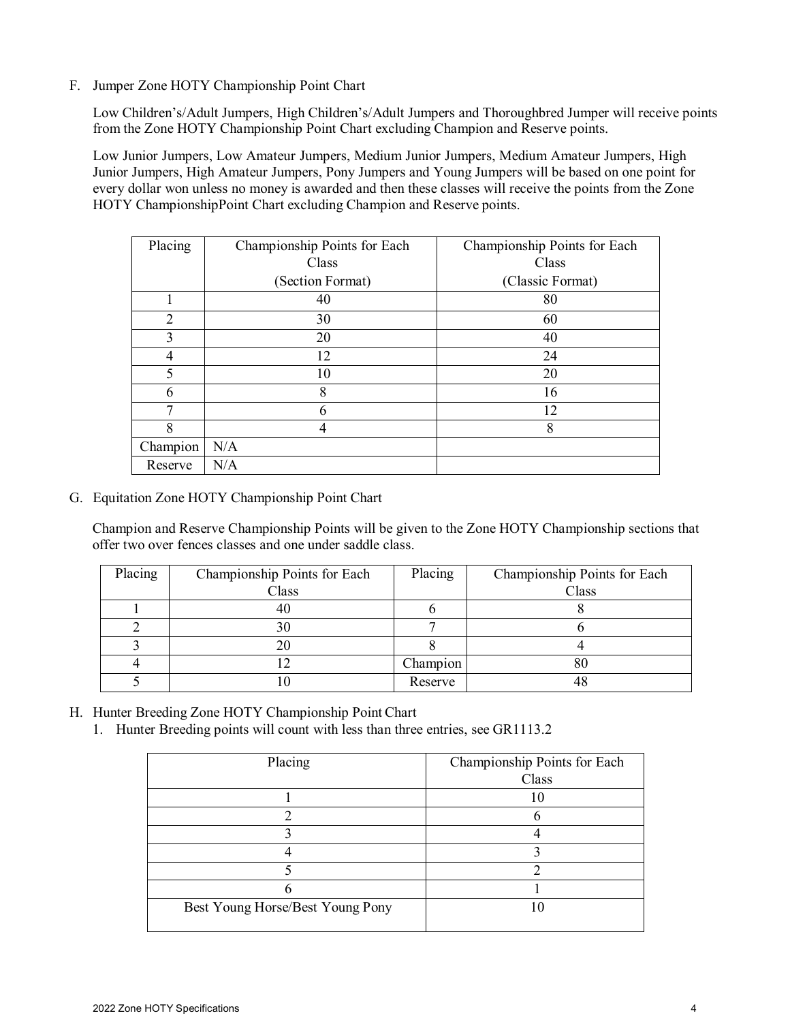#### F. Jumper Zone HOTY Championship Point Chart

Low Children's/Adult Jumpers, High Children's/Adult Jumpers and Thoroughbred Jumper will receive points from the Zone HOTY Championship Point Chart excluding Champion and Reserve points.

Low Junior Jumpers, Low Amateur Jumpers, Medium Junior Jumpers, Medium Amateur Jumpers, High Junior Jumpers, High Amateur Jumpers, Pony Jumpers and Young Jumpers will be based on one point for every dollar won unless no money is awarded and then these classes will receive the points from the Zone HOTY ChampionshipPoint Chart excluding Champion and Reserve points.

| Placing        | Championship Points for Each | Championship Points for Each |
|----------------|------------------------------|------------------------------|
|                | Class                        | Class                        |
|                | (Section Format)             | (Classic Format)             |
|                | 40                           | 80                           |
| $\overline{2}$ | 30                           | 60                           |
| 3              | 20                           | 40                           |
|                | 12                           | 24                           |
| 5              | 10                           | 20                           |
| 6              | 8                            | 16                           |
| 7              | 6                            | 12                           |
| 8              |                              | 8                            |
| Champion       | N/A                          |                              |
| Reserve        | N/A                          |                              |

G. Equitation Zone HOTY Championship Point Chart

Champion and Reserve Championship Points will be given to the Zone HOTY Championship sections that offer two over fences classes and one under saddle class.

| Placing | Championship Points for Each | Placing  | Championship Points for Each |
|---------|------------------------------|----------|------------------------------|
|         | Class                        |          | Class                        |
|         |                              |          |                              |
|         |                              |          |                              |
|         |                              |          |                              |
|         |                              | Champion |                              |
|         |                              | Reserve  |                              |

- H. Hunter Breeding Zone HOTY Championship Point Chart
	- 1. Hunter Breeding points will count with less than three entries, see GR1113.2

| Placing                          | Championship Points for Each |
|----------------------------------|------------------------------|
|                                  | Class                        |
|                                  |                              |
|                                  |                              |
|                                  |                              |
|                                  |                              |
|                                  |                              |
|                                  |                              |
| Best Young Horse/Best Young Pony |                              |